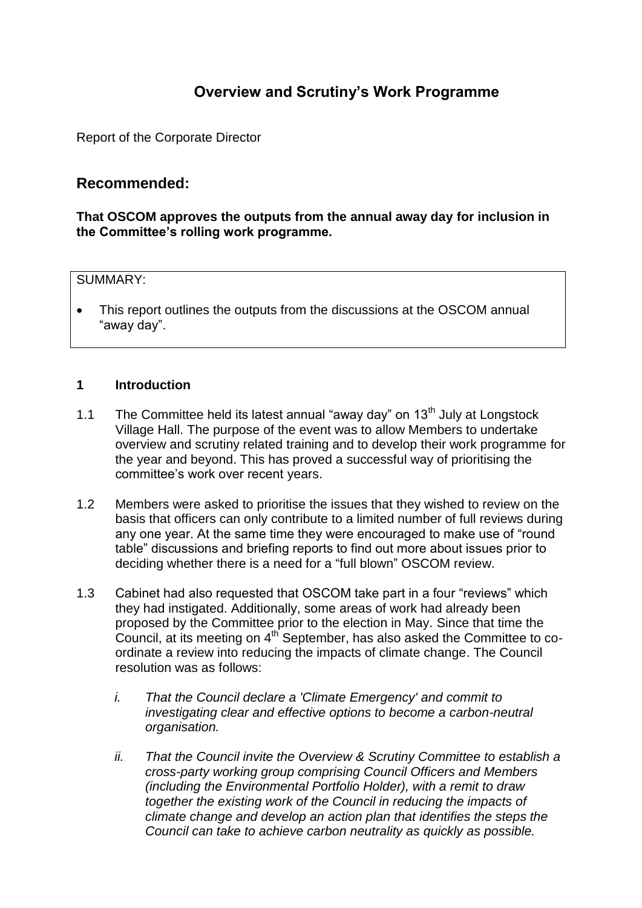# **Overview and Scrutiny's Work Programme**

Report of the Corporate Director

# **Recommended:**

**That OSCOM approves the outputs from the annual away day for inclusion in the Committee's rolling work programme.** 

## SUMMARY:

• This report outlines the outputs from the discussions at the OSCOM annual "away day".

## **1 Introduction**

- 1.1 The Committee held its latest annual "away day" on  $13<sup>th</sup>$  July at Longstock Village Hall. The purpose of the event was to allow Members to undertake overview and scrutiny related training and to develop their work programme for the year and beyond. This has proved a successful way of prioritising the committee's work over recent years.
- 1.2 Members were asked to prioritise the issues that they wished to review on the basis that officers can only contribute to a limited number of full reviews during any one year. At the same time they were encouraged to make use of "round table" discussions and briefing reports to find out more about issues prior to deciding whether there is a need for a "full blown" OSCOM review.
- 1.3 Cabinet had also requested that OSCOM take part in a four "reviews" which they had instigated. Additionally, some areas of work had already been proposed by the Committee prior to the election in May. Since that time the Council, at its meeting on 4th September, has also asked the Committee to coordinate a review into reducing the impacts of climate change. The Council resolution was as follows:
	- *i. That the Council declare a 'Climate Emergency' and commit to investigating clear and effective options to become a carbon-neutral organisation.*
	- *ii. That the Council invite the Overview & Scrutiny Committee to establish a cross-party working group comprising Council Officers and Members (including the Environmental Portfolio Holder), with a remit to draw together the existing work of the Council in reducing the impacts of climate change and develop an action plan that identifies the steps the Council can take to achieve carbon neutrality as quickly as possible.*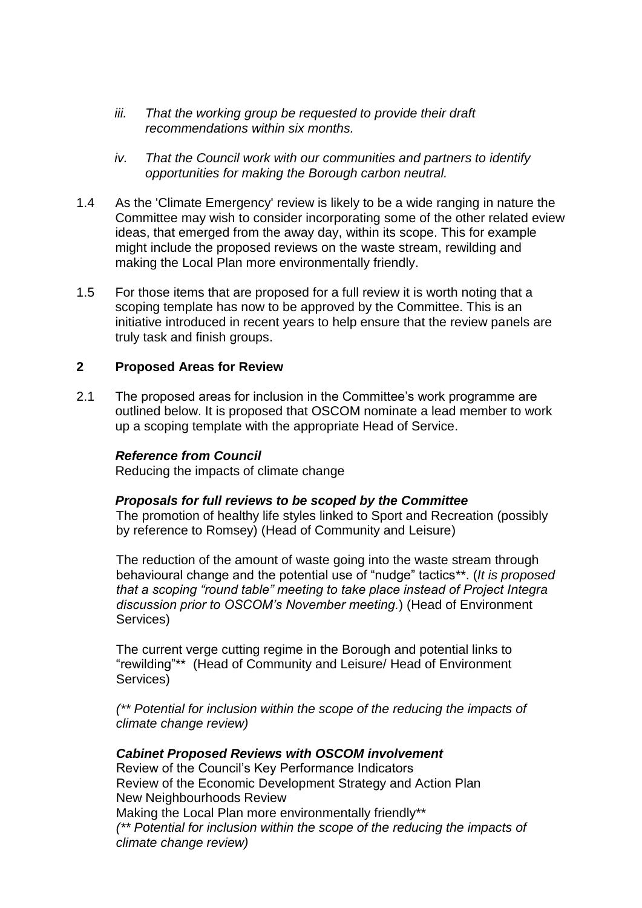- *iii. That the working group be requested to provide their draft recommendations within six months.*
- *iv. That the Council work with our communities and partners to identify opportunities for making the Borough carbon neutral.*
- 1.4 As the 'Climate Emergency' review is likely to be a wide ranging in nature the Committee may wish to consider incorporating some of the other related eview ideas, that emerged from the away day, within its scope. This for example might include the proposed reviews on the waste stream, rewilding and making the Local Plan more environmentally friendly.
- 1.5 For those items that are proposed for a full review it is worth noting that a scoping template has now to be approved by the Committee. This is an initiative introduced in recent years to help ensure that the review panels are truly task and finish groups.

## **2 Proposed Areas for Review**

2.1 The proposed areas for inclusion in the Committee's work programme are outlined below. It is proposed that OSCOM nominate a lead member to work up a scoping template with the appropriate Head of Service.

#### *Reference from Council*

Reducing the impacts of climate change

## *Proposals for full reviews to be scoped by the Committee*

The promotion of healthy life styles linked to Sport and Recreation (possibly by reference to Romsey) (Head of Community and Leisure)

The reduction of the amount of waste going into the waste stream through behavioural change and the potential use of "nudge" tactics\*\*. (*It is proposed that a scoping "round table" meeting to take place instead of Project Integra discussion prior to OSCOM's November meeting.*) (Head of Environment Services)

The current verge cutting regime in the Borough and potential links to "rewilding"\*\* (Head of Community and Leisure/ Head of Environment Services)

*(\*\* Potential for inclusion within the scope of the reducing the impacts of climate change review)* 

## *Cabinet Proposed Reviews with OSCOM involvement*

Review of the Council's Key Performance Indicators Review of the Economic Development Strategy and Action Plan New Neighbourhoods Review Making the Local Plan more environmentally friendly\*\* *(\*\* Potential for inclusion within the scope of the reducing the impacts of climate change review)*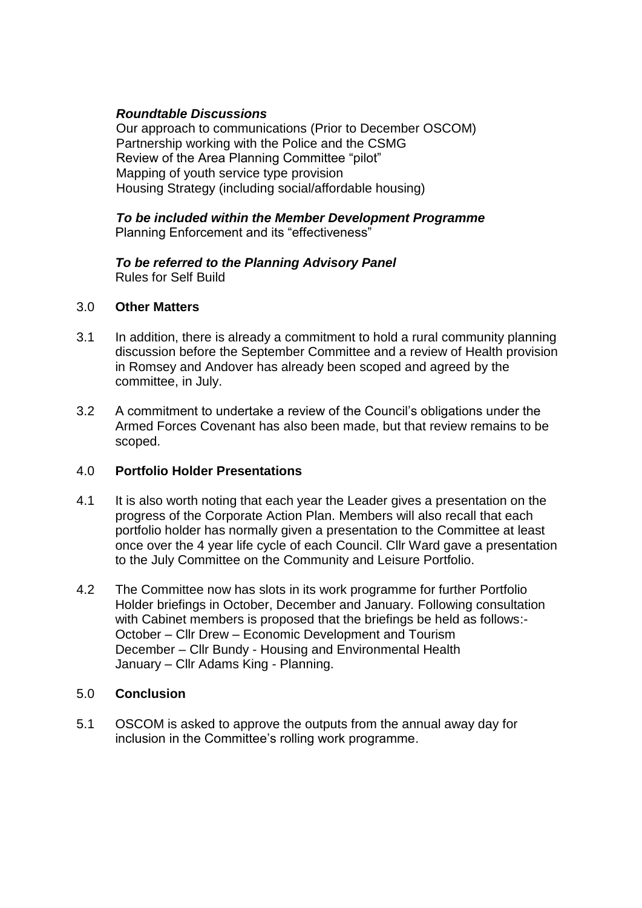## *Roundtable Discussions*

Our approach to communications (Prior to December OSCOM) Partnership working with the Police and the CSMG Review of the Area Planning Committee "pilot" Mapping of youth service type provision Housing Strategy (including social/affordable housing)

## *To be included within the Member Development Programme*  Planning Enforcement and its "effectiveness"

#### *To be referred to the Planning Advisory Panel*  Rules for Self Build

## 3.0 **Other Matters**

- 3.1 In addition, there is already a commitment to hold a rural community planning discussion before the September Committee and a review of Health provision in Romsey and Andover has already been scoped and agreed by the committee, in July.
- 3.2 A commitment to undertake a review of the Council's obligations under the Armed Forces Covenant has also been made, but that review remains to be scoped.

## 4.0 **Portfolio Holder Presentations**

- 4.1 It is also worth noting that each year the Leader gives a presentation on the progress of the Corporate Action Plan. Members will also recall that each portfolio holder has normally given a presentation to the Committee at least once over the 4 year life cycle of each Council. Cllr Ward gave a presentation to the July Committee on the Community and Leisure Portfolio.
- 4.2 The Committee now has slots in its work programme for further Portfolio Holder briefings in October, December and January. Following consultation with Cabinet members is proposed that the briefings be held as follows:-October – Cllr Drew – Economic Development and Tourism December – Cllr Bundy - Housing and Environmental Health January – Cllr Adams King - Planning.

## 5.0 **Conclusion**

5.1 OSCOM is asked to approve the outputs from the annual away day for inclusion in the Committee's rolling work programme.